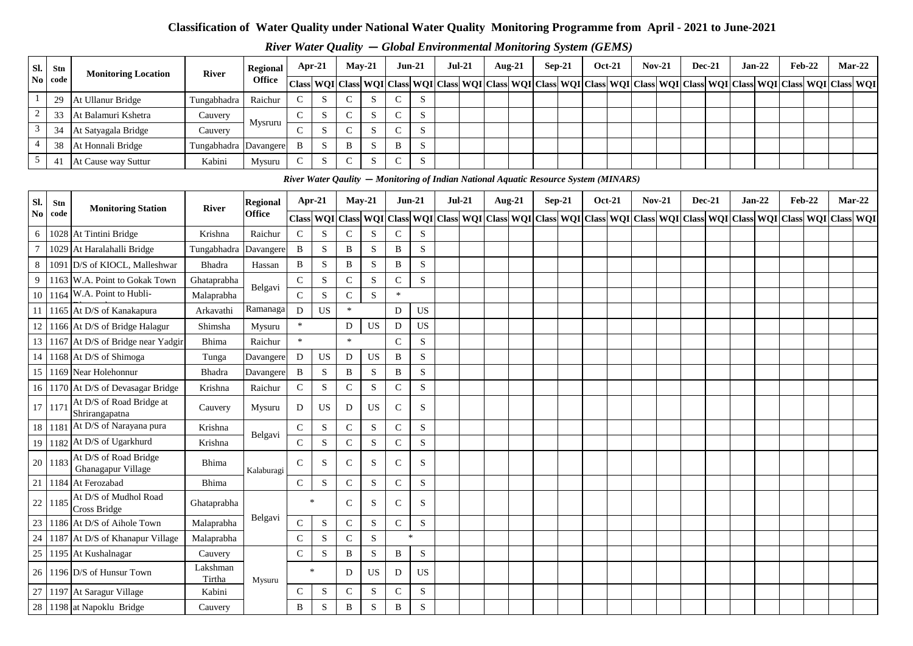# **Classification of Water Quality under National Water Quality Monitoring Programme from April - 2021 to June-2021**

| Sl. Stn                 |         | <b>Monitoring Location</b> | <b>River</b>          | Regional      |        | Apr-21 | $Mav-21$                                                                             |              |   | $Jun-21$                | $Jul-21$ | Aug- $21$ |  | $Sep-21$ | <b>Oct-21</b> | $Nov-21$ | <b>Dec-21</b> | $Jan-22$                                                                                                                                                                                                                   | $Feb-22$ |  | $Mar-22$ |
|-------------------------|---------|----------------------------|-----------------------|---------------|--------|--------|--------------------------------------------------------------------------------------|--------------|---|-------------------------|----------|-----------|--|----------|---------------|----------|---------------|----------------------------------------------------------------------------------------------------------------------------------------------------------------------------------------------------------------------------|----------|--|----------|
|                         | No code |                            |                       | <b>Office</b> |        |        |                                                                                      |              |   |                         |          |           |  |          |               |          |               | Class  WQI   Class  WQI   Class  WQI   Class  WQI   Class  WQI   Class  WQI   Class  WQI   Class  WQI   Class  WQI   Class  WQI   Class  WQI   Class  WQI   Class  WQI   Class  WQI   Class  WQI   Class  WQI   Class  WQI |          |  |          |
|                         | 29      | At Ullanur Bridge          | Tungabhadra           | Raichur       | $\sim$ |        |                                                                                      | $\mathbf{D}$ |   | $\sim$<br>$\mathcal{L}$ |          |           |  |          |               |          |               |                                                                                                                                                                                                                            |          |  |          |
| $\sim$<br>$\mathcal{L}$ | 33      | At Balamuri Kshetra        | Cauvery               | Mysruru       |        |        |                                                                                      | - 2          |   | $\sim$<br>$\mathcal{L}$ |          |           |  |          |               |          |               |                                                                                                                                                                                                                            |          |  |          |
| 3                       | 34      | At Satyagala Bridge        | Cauvery               |               | $\sim$ |        |                                                                                      | D.           |   | <sub>S</sub>            |          |           |  |          |               |          |               |                                                                                                                                                                                                                            |          |  |          |
| 4                       | 38      | At Honnali Bridge          | Tungabhadra Davangere |               | B      |        | B                                                                                    | <sub>S</sub> | B | <sub>S</sub>            |          |           |  |          |               |          |               |                                                                                                                                                                                                                            |          |  |          |
|                         | 41      | At Cause way Suttur        | Kabini                | Mysuru        | $\sim$ |        | $\sim$                                                                               | 'N           |   | S                       |          |           |  |          |               |          |               |                                                                                                                                                                                                                            |          |  |          |
|                         |         |                            |                       |               |        |        | River Water Qaulity – Monitoring of Indian National Aquatic Resource System (MINARS) |              |   |                         |          |           |  |          |               |          |               |                                                                                                                                                                                                                            |          |  |          |
|                         |         |                            |                       |               |        |        |                                                                                      |              |   |                         |          |           |  |          |               |          |               |                                                                                                                                                                                                                            |          |  |          |

|                 |      |                                             |                    |                 |               |           |              | River Water Qaulity - Monitoring of Indian National Aquatic Resource System (MINARS) |              |             |          |           |          |               |               |               |                                                                                                                                                                                                                               |          |          |  |
|-----------------|------|---------------------------------------------|--------------------|-----------------|---------------|-----------|--------------|--------------------------------------------------------------------------------------|--------------|-------------|----------|-----------|----------|---------------|---------------|---------------|-------------------------------------------------------------------------------------------------------------------------------------------------------------------------------------------------------------------------------|----------|----------|--|
| Sl.             | Stn  | <b>Monitoring Station</b>                   | <b>River</b>       | <b>Regional</b> | Apr-21        |           |              | $May-21$                                                                             | $Jun-21$     |             | $Jul-21$ | Aug- $21$ | $Sep-21$ | <b>Oct-21</b> | <b>Nov-21</b> | <b>Dec-21</b> | $Jan-22$                                                                                                                                                                                                                      | $Feb-22$ | $Mar-22$ |  |
| No.             | code |                                             |                    | <b>Office</b>   |               |           |              |                                                                                      |              |             |          |           |          |               |               |               | Class   WQI   Class   WQI   Class   WQI   Class   WQI   Class   WQI   Class   WQI   Class   WQI   Class   WQI   Class   WQI   Class   WQI   Class   WQI   Class   WQI   Class   WQI   Class   WQI   Class   WQI   Class   WQI |          |          |  |
| 6               |      | 1028 At Tintini Bridge                      | Krishna            | Raichur         | $\mathbf C$   | S         | $\mathbf C$  | S                                                                                    | $\mathsf{C}$ | S           |          |           |          |               |               |               |                                                                                                                                                                                                                               |          |          |  |
| $7\phantom{.0}$ |      | 1029 At Haralahalli Bridge                  | Tungabhadra        | Davangere       | B             | S         | B            | S                                                                                    | $\, {\bf B}$ | S           |          |           |          |               |               |               |                                                                                                                                                                                                                               |          |          |  |
| 8               |      | 1091 D/S of KIOCL, Malleshwar               | Bhadra             | Hassan          | B             | S         | B            | S                                                                                    | B            | S           |          |           |          |               |               |               |                                                                                                                                                                                                                               |          |          |  |
| 9               |      | 1163 W.A. Point to Gokak Town               | Ghataprabha        | Belgavi         | $\mathbf C$   | S         | $\mathbf C$  | S                                                                                    | $\mathbf C$  | S           |          |           |          |               |               |               |                                                                                                                                                                                                                               |          |          |  |
| 10              |      | 1164 W.A. Point to Hubli-                   | Malaprabha         |                 | $\mathsf{C}$  | S         | ${\bf C}$    | S                                                                                    | $\ast$       |             |          |           |          |               |               |               |                                                                                                                                                                                                                               |          |          |  |
|                 |      | 11 1165 At D/S of Kanakapura                | Arkavathi          | Ramanaga        | D             | <b>US</b> | $\ast$       |                                                                                      | ${\bf D}$    | US          |          |           |          |               |               |               |                                                                                                                                                                                                                               |          |          |  |
|                 |      | 12 1166 At D/S of Bridge Halagur            | Shimsha            | Mysuru          | $\ast$        |           | D            | US                                                                                   | D            | <b>US</b>   |          |           |          |               |               |               |                                                                                                                                                                                                                               |          |          |  |
|                 |      | 13 1167 At D/S of Bridge near Yadgir        | <b>Bhima</b>       | Raichur         | $\ast$        |           | $\ast$       |                                                                                      | $\mathsf{C}$ | S           |          |           |          |               |               |               |                                                                                                                                                                                                                               |          |          |  |
|                 |      | 14 1168 At D/S of Shimoga                   | Tunga              | Davangere       | $\mathbf D$   | US        | D            | US                                                                                   | $\, {\bf B}$ | S           |          |           |          |               |               |               |                                                                                                                                                                                                                               |          |          |  |
|                 |      | 15 1169 Near Holehonnur                     | Bhadra             | Davangere       | B             | S         | B            | S                                                                                    | B            | S           |          |           |          |               |               |               |                                                                                                                                                                                                                               |          |          |  |
|                 |      | 16 1170 At D/S of Devasagar Bridge          | Krishna            | Raichur         | $\mathcal{C}$ | ${\bf S}$ | ${\bf C}$    | $\,$ S                                                                               | ${\bf C}$    | S           |          |           |          |               |               |               |                                                                                                                                                                                                                               |          |          |  |
| 17              | 1171 | At D/S of Road Bridge at<br>Shrirangapatna  | Cauvery            | Mysuru          | D             | <b>US</b> | D            | US                                                                                   | $\mathsf{C}$ | S           |          |           |          |               |               |               |                                                                                                                                                                                                                               |          |          |  |
|                 |      | 18 1181 At D/S of Narayana pura             | Krishna            | Belgavi         | ${\bf C}$     | S         | ${\bf C}$    | ${\bf S}$                                                                            | ${\bf C}$    | ${\bf S}$   |          |           |          |               |               |               |                                                                                                                                                                                                                               |          |          |  |
|                 |      | 19 1182 At D/S of Ugarkhurd                 | Krishna            |                 | $\mathbf C$   | S         | $\mathsf{C}$ | S                                                                                    | $\mathsf{C}$ | S           |          |           |          |               |               |               |                                                                                                                                                                                                                               |          |          |  |
| 20              | 1183 | At D/S of Road Bridge<br>Ghanagapur Village | Bhima              | Kalaburagi      | $\mathcal{C}$ | S.        | $\mathsf{C}$ | S                                                                                    | $\mathbf C$  | S           |          |           |          |               |               |               |                                                                                                                                                                                                                               |          |          |  |
| 21              |      | 1184 At Ferozabad                           | <b>Bhima</b>       |                 | $\mathbf C$   | ${\bf S}$ | $\mathbf C$  | ${\bf S}$                                                                            | ${\bf C}$    | ${\bf S}$   |          |           |          |               |               |               |                                                                                                                                                                                                                               |          |          |  |
| 22              | 1185 | At D/S of Mudhol Road<br>Cross Bridge       | Ghataprabha        |                 | $\mathbf{x}$  |           | $\mathsf{C}$ | S                                                                                    | $\mathsf{C}$ | S           |          |           |          |               |               |               |                                                                                                                                                                                                                               |          |          |  |
|                 |      | 23 1186 At D/S of Aihole Town               | Malaprabha         | Belgavi         | $\mathbf C$   | S         | $\mathbf C$  | ${\bf S}$                                                                            | ${\bf C}$    | $\mathbf S$ |          |           |          |               |               |               |                                                                                                                                                                                                                               |          |          |  |
|                 |      | 24   1187   At D/S of Khanapur Village      | Malaprabha         |                 | $\mathcal{C}$ | S         | $\mathsf{C}$ | ${\bf S}$                                                                            | $\ast$       |             |          |           |          |               |               |               |                                                                                                                                                                                                                               |          |          |  |
|                 |      | 25 1195 At Kushalnagar                      | Cauvery            |                 | $\mathsf{C}$  | S         | $\, {\bf B}$ | $\,$ S                                                                               | B            | S           |          |           |          |               |               |               |                                                                                                                                                                                                                               |          |          |  |
| 26              |      | 1196 D/S of Hunsur Town                     | Lakshman<br>Tirtha | Mysuru          | $\ast$        |           | D            | US                                                                                   | D            | US          |          |           |          |               |               |               |                                                                                                                                                                                                                               |          |          |  |
| $27\,$          |      | 1197 At Saragur Village                     | Kabini             |                 | $\mathcal{C}$ | S         | $\mathsf{C}$ | S                                                                                    | $\mathbf C$  | S           |          |           |          |               |               |               |                                                                                                                                                                                                                               |          |          |  |
|                 |      | 28 1198 at Napoklu Bridge                   | Cauvery            |                 | B             | S         | B            | S                                                                                    | $\, {\bf B}$ | S           |          |           |          |               |               |               |                                                                                                                                                                                                                               |          |          |  |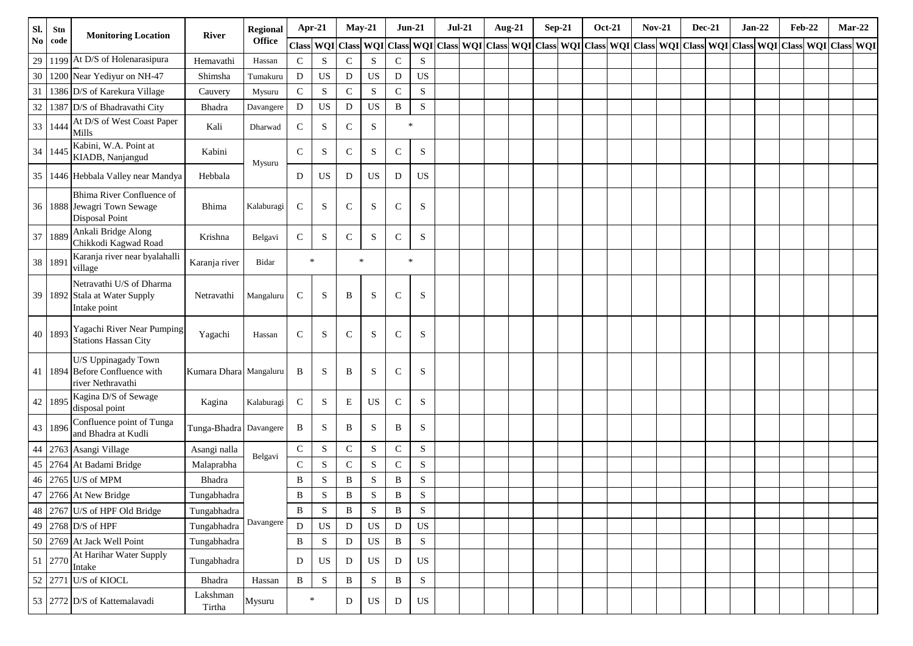| SI.      | Stn     | <b>Monitoring Location</b>                                                     | River                  | Regional      | Apr-21       |             | $May-21$     |             | $Jun-21$     |             | $Jul-21$ | Aug-21 |  | $Sep-21$ | <b>Oct-21</b> | <b>Nov-21</b> | <b>Dec-21</b> | $Jan-22$ | <b>Feb-22</b>                                                                                                 |  | $Mar-22$ |
|----------|---------|--------------------------------------------------------------------------------|------------------------|---------------|--------------|-------------|--------------|-------------|--------------|-------------|----------|--------|--|----------|---------------|---------------|---------------|----------|---------------------------------------------------------------------------------------------------------------|--|----------|
| $\bf No$ | code    |                                                                                |                        | <b>Office</b> | Class WQI    |             | <b>Class</b> | WQI         |              |             |          |        |  |          |               |               |               |          | Class WQI Class WQI Class WQI Class WQI Class WQI Class WQI Class WQI Class WQI Class WQI Class WQI Class WQI |  |          |
| 29       |         | 1199 At D/S of Holenarasipura                                                  | Hemavathi              | Hassan        | $\mathbf C$  | S           | ${\bf C}$    | S           | $\mathbf C$  | S           |          |        |  |          |               |               |               |          |                                                                                                               |  |          |
| $30\,$   |         | 1200 Near Yediyur on NH-47                                                     | Shimsha                | Tumakuru      | D            | $_{\rm US}$ | D            | US          | $\mathbf D$  | <b>US</b>   |          |        |  |          |               |               |               |          |                                                                                                               |  |          |
| 31       |         | 1386 D/S of Karekura Village                                                   | Cauvery                | Mysuru        | ${\bf C}$    | ${\bf S}$   | $\mathbf C$  | ${\bf S}$   | ${\bf C}$    | ${\bf S}$   |          |        |  |          |               |               |               |          |                                                                                                               |  |          |
| 32       |         | 1387 D/S of Bhadravathi City                                                   | Bhadra                 | Davangere     | D            | US          | D            | US          | $\, {\bf B}$ | $\mathbf S$ |          |        |  |          |               |               |               |          |                                                                                                               |  |          |
| 33       | 1444    | At D/S of West Coast Paper<br>Mills                                            | Kali                   | Dharwad       | $\mathsf{C}$ | S           | $\mathsf{C}$ | $\,$ S      | $\ast$       |             |          |        |  |          |               |               |               |          |                                                                                                               |  |          |
| 34       | 1445    | Kabini, W.A. Point at<br>KIADB, Nanjangud                                      | Kabini                 | Mysuru        | $\mathbf C$  | S           | $\mathsf{C}$ | ${\bf S}$   | $\mathbf C$  | S           |          |        |  |          |               |               |               |          |                                                                                                               |  |          |
| 35       |         | 1446 Hebbala Valley near Mandya                                                | Hebbala                |               | D            | $_{\rm US}$ | D            | US          | D            | <b>US</b>   |          |        |  |          |               |               |               |          |                                                                                                               |  |          |
| 36       |         | Bhima River Confluence of<br>1888 Jewagri Town Sewage<br><b>Disposal Point</b> | Bhima                  | Kalaburagi    | $\mathsf{C}$ | S           | $\mathsf{C}$ | ${\bf S}$   | $\mathsf{C}$ | S           |          |        |  |          |               |               |               |          |                                                                                                               |  |          |
| 37       | 1889    | Ankali Bridge Along<br>Chikkodi Kagwad Road                                    | Krishna                | Belgavi       | $\mathbf C$  | S           | $\mathsf{C}$ | S           | $\mathsf{C}$ | S           |          |        |  |          |               |               |               |          |                                                                                                               |  |          |
|          | 38 1891 | Karanja river near byalahalli<br>village                                       | Karanja river          | Bidar         |              | $\ast$      |              | $\ast$      | $\ast$       |             |          |        |  |          |               |               |               |          |                                                                                                               |  |          |
| 39       |         | Netravathi U/S of Dharma<br>1892 Stala at Water Supply<br>Intake point         | Netravathi             | Mangaluru     | $\mathsf{C}$ | S           | B            | S           | $\mathsf{C}$ | S           |          |        |  |          |               |               |               |          |                                                                                                               |  |          |
| 40       | 1893    | Yagachi River Near Pumping<br><b>Stations Hassan City</b>                      | Yagachi                | Hassan        | $\mathsf{C}$ | S           | $\mathsf{C}$ | S           | $\mathsf{C}$ | S           |          |        |  |          |               |               |               |          |                                                                                                               |  |          |
| 41       |         | U/S Uppinagady Town<br>1894 Before Confluence with<br>river Nethravathi        | Kumara Dhara Mangaluru |               | B            | S           | B            | S           | $\mathsf{C}$ | S           |          |        |  |          |               |               |               |          |                                                                                                               |  |          |
| 42       | 1895    | Kagina D/S of Sewage<br>disposal point                                         | Kagina                 | Kalaburagi    | $\mathbf C$  | S           | E            | US          | $\mathsf{C}$ | S           |          |        |  |          |               |               |               |          |                                                                                                               |  |          |
| 43       | 1896    | Confluence point of Tunga<br>and Bhadra at Kudli                               | Tunga-Bhadra Davangere |               | B            | S           | B            | S           | B            | S           |          |        |  |          |               |               |               |          |                                                                                                               |  |          |
| 44       |         | 2763 Asangi Village                                                            | Asangi nalla           |               | $\mathsf C$  | ${\bf S}$   | $\mathsf C$  | ${\bf S}$   | $\mathsf C$  | ${\bf S}$   |          |        |  |          |               |               |               |          |                                                                                                               |  |          |
|          |         | 45   2764   At Badami Bridge                                                   | Malaprabha             | Belgavi       | $\mathbf C$  | S           | ${\bf C}$    | S           | ${\bf C}$    | S           |          |        |  |          |               |               |               |          |                                                                                                               |  |          |
| 46       |         | 2765 U/S of MPM                                                                | Bhadra                 |               | B            | S           | B            | ${\bf S}$   | B            | S           |          |        |  |          |               |               |               |          |                                                                                                               |  |          |
| 47       |         | 2766 At New Bridge                                                             | Tungabhadra            |               | B            | S           | B            | $\mathbf S$ | B            | ${\bf S}$   |          |        |  |          |               |               |               |          |                                                                                                               |  |          |
|          |         | 48 2767 U/S of HPF Old Bridge                                                  | Tungabhadra            |               | $\, {\bf B}$ | ${\bf S}$   | B            | ${\bf S}$   | $\, {\bf B}$ | $\mathbf S$ |          |        |  |          |               |               |               |          |                                                                                                               |  |          |
|          |         | 49 2768 D/S of HPF                                                             | Tungabhadra            | Davangere     | D            | $_{\rm US}$ | $\mathbf D$  | <b>US</b>   | ${\rm D}$    | $_{\rm US}$ |          |        |  |          |               |               |               |          |                                                                                                               |  |          |
|          |         | 50 2769 At Jack Well Point                                                     | Tungabhadra            |               | $\, {\bf B}$ | S           | ${\bf D}$    | $_{\rm US}$ | $\, {\bf B}$ | ${\bf S}$   |          |        |  |          |               |               |               |          |                                                                                                               |  |          |
|          | 51 2770 | At Harihar Water Supply<br>Intake                                              | Tungabhadra            |               | D            | $_{\rm US}$ | D            | $_{\rm US}$ | ${\bf D}$    | US          |          |        |  |          |               |               |               |          |                                                                                                               |  |          |
|          |         | 52 2771 U/S of KIOCL                                                           | Bhadra                 | Hassan        | $\, {\bf B}$ | ${\bf S}$   | $\, {\bf B}$ | ${\bf S}$   | $\, {\bf B}$ | ${\bf S}$   |          |        |  |          |               |               |               |          |                                                                                                               |  |          |
|          |         | 53 2772 D/S of Kattemalavadi                                                   | Lakshman<br>Tirtha     | Mysuru        |              | $\ast$      | D            | US          | D            | $_{\rm US}$ |          |        |  |          |               |               |               |          |                                                                                                               |  |          |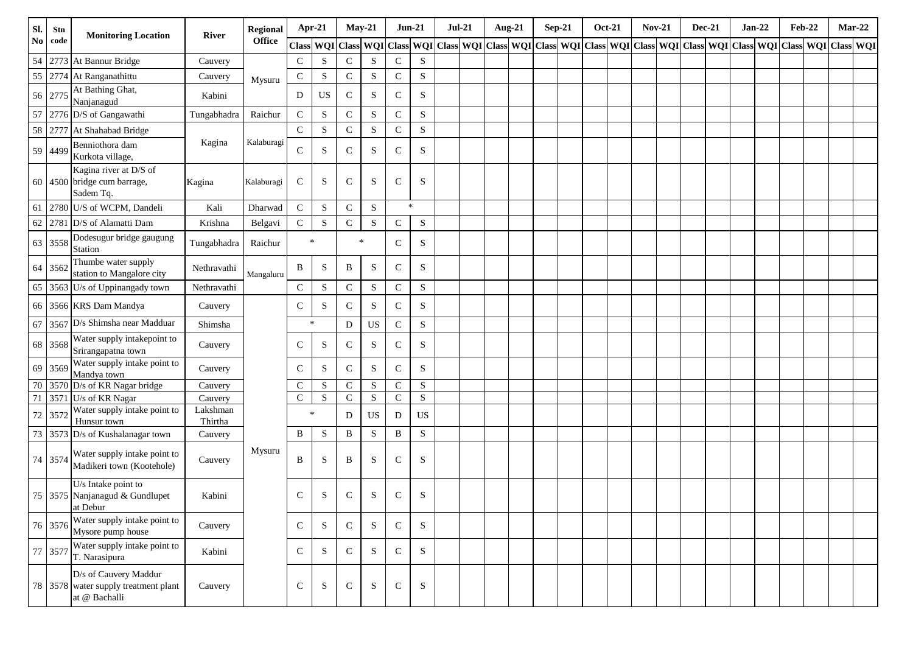| Sl.           | Stn     | <b>Monitoring Location</b>                                                     | <b>River</b>        | Regional      | Apr-21       |                  | $May-21$     |           | $Jun-21$      |             | $Jul-21$ | Aug-21 |  | $Sep-21$ | <b>Oct-21</b> | $Nov-21$ | <b>Dec-21</b> | $Jan-22$ | <b>Feb-22</b>                                                                                                                     |  | $Mar-22$ |
|---------------|---------|--------------------------------------------------------------------------------|---------------------|---------------|--------------|------------------|--------------|-----------|---------------|-------------|----------|--------|--|----------|---------------|----------|---------------|----------|-----------------------------------------------------------------------------------------------------------------------------------|--|----------|
| $\mathbf{No}$ | code    |                                                                                |                     | <b>Office</b> |              | <b>Class WQI</b> |              |           |               |             |          |        |  |          |               |          |               |          | Class WQI Class WQI Class WQI Class WQI Class WQI Class WQI Class WQI Class WQI Class WQI Class WQI Class WQI Class WQI Class WQI |  |          |
| 54            |         | 2773 At Bannur Bridge                                                          | Cauvery             |               | $\mathsf{C}$ | S                | ${\bf C}$    | ${\bf S}$ | ${\bf C}$     | S           |          |        |  |          |               |          |               |          |                                                                                                                                   |  |          |
| 55            | 2774    | At Ranganathittu                                                               | Cauvery             | Mysuru        | $\mathsf{C}$ | S                | ${\bf C}$    | S         | $\mathsf{C}$  | $\mathbf S$ |          |        |  |          |               |          |               |          |                                                                                                                                   |  |          |
|               | 56 2775 | At Bathing Ghat,<br>Nanjanagud                                                 | Kabini              |               | D            | US               | ${\bf C}$    | ${\bf S}$ | $\mathcal{C}$ | $\mathbf S$ |          |        |  |          |               |          |               |          |                                                                                                                                   |  |          |
| 57            |         | 2776 D/S of Gangawathi                                                         | Tungabhadra         | Raichur       | ${\bf C}$    | ${\bf S}$        | ${\bf C}$    | S         | $\mathbf C$   | S           |          |        |  |          |               |          |               |          |                                                                                                                                   |  |          |
| 58            |         | 2777 At Shahabad Bridge                                                        |                     |               | $\mathbf C$  | ${\bf S}$        | ${\bf C}$    | S         | $\mathbf C$   | S           |          |        |  |          |               |          |               |          |                                                                                                                                   |  |          |
|               | 59 4499 | Benniothora dam<br>Kurkota village,                                            | Kagina              | Kalaburagi    | $\mathbf C$  | S                | ${\bf C}$    | ${\bf S}$ | $\mathcal{C}$ | $\mathbf S$ |          |        |  |          |               |          |               |          |                                                                                                                                   |  |          |
|               |         | Kagina river at D/S of<br>60 4500 bridge cum barrage,<br>Sadem Tq.             | Kagina              | Kalaburagi    | $\mathbf C$  | S                | $\mathsf{C}$ | ${\bf S}$ | $\mathbf C$   | S           |          |        |  |          |               |          |               |          |                                                                                                                                   |  |          |
| 61            |         | 2780 U/S of WCPM, Dandeli                                                      | Kali                | Dharwad       | $\mathbf C$  | S                | $\mathsf{C}$ | ${\bf S}$ | $\ast$        |             |          |        |  |          |               |          |               |          |                                                                                                                                   |  |          |
| 62            |         | 2781 D/S of Alamatti Dam                                                       | Krishna             | Belgavi       | $\mathbf C$  | ${\bf S}$        | ${\bf C}$    | ${\bf S}$ | $\mathsf{C}$  | $\mathbf S$ |          |        |  |          |               |          |               |          |                                                                                                                                   |  |          |
| 63            | 3558    | Dodesugur bridge gaugung<br>Station                                            | Tungabhadra         | Raichur       |              | $\ast$           |              | $\ast$    | $\mathbf C$   | S           |          |        |  |          |               |          |               |          |                                                                                                                                   |  |          |
| 64            | 3562    | Thumbe water supply<br>station to Mangalore city                               | Nethravathi         | Mangaluru     | $\, {\bf B}$ | S                | B            | S         | $\mathcal{C}$ | S           |          |        |  |          |               |          |               |          |                                                                                                                                   |  |          |
| 65            |         | 3563 U/s of Uppinangady town                                                   | Nethravathi         |               | ${\bf C}$    | ${\bf S}$        | ${\bf C}$    | ${\bf S}$ | ${\bf C}$     | S           |          |        |  |          |               |          |               |          |                                                                                                                                   |  |          |
| 66            |         | 3566 KRS Dam Mandya                                                            | Cauvery             |               | $\mathsf{C}$ | S                | $\mathsf{C}$ | ${\bf S}$ | $\mathbf C$   | $\mathbf S$ |          |        |  |          |               |          |               |          |                                                                                                                                   |  |          |
| 67            |         | 3567 D/s Shimsha near Madduar                                                  | Shimsha             |               |              | $\ast$           | D            | <b>US</b> | $\mathbf C$   | ${\bf S}$   |          |        |  |          |               |          |               |          |                                                                                                                                   |  |          |
| 68            | 3568    | Water supply intakepoint to<br>Srirangapatna town                              | Cauvery             |               | $\mathsf{C}$ | S                | $\mathsf{C}$ | S         | $\mathbf C$   | S           |          |        |  |          |               |          |               |          |                                                                                                                                   |  |          |
| 69            | 3569    | Water supply intake point to<br>Mandya town                                    | Cauvery             |               | $\mathbf C$  | S                | $\mathbf C$  | ${\bf S}$ | $\mathbf C$   | S           |          |        |  |          |               |          |               |          |                                                                                                                                   |  |          |
| 70            |         | 3570 D/s of KR Nagar bridge                                                    | Cauvery             |               | $\mathsf{C}$ | S                | ${\bf C}$    | ${\bf S}$ | $\mathbf C$   | ${\bf S}$   |          |        |  |          |               |          |               |          |                                                                                                                                   |  |          |
| 71            | 3571    | U/s of KR Nagar<br>Water supply intake point to                                | Cauvery<br>Lakshman |               | $\mathsf{C}$ | ${\bf S}$        | ${\bf C}$    | ${\bf S}$ | $\mathbf C$   | ${\bf S}$   |          |        |  |          |               |          |               |          |                                                                                                                                   |  |          |
| $72\,$        | 3572    | Hunsur town                                                                    | Thirtha             |               |              | $\ast$           | D            | <b>US</b> | $\mathbf D$   | <b>US</b>   |          |        |  |          |               |          |               |          |                                                                                                                                   |  |          |
| $73\,$        |         | 3573 D/s of Kushalanagar town                                                  | Cauvery             |               | $\, {\bf B}$ | S                | $\, {\bf B}$ | ${\bf S}$ | $\, {\bf B}$  | ${\bf S}$   |          |        |  |          |               |          |               |          |                                                                                                                                   |  |          |
|               | 74 3574 | Water supply intake point to<br>Madikeri town (Kootehole)                      | Cauvery             | Mysuru        | B            | S                | B            | ${\bf S}$ | $\mathbf C$   | S           |          |        |  |          |               |          |               |          |                                                                                                                                   |  |          |
|               |         | U/s Intake point to<br>75 3575 Nanjanagud & Gundlupet<br>at Debur              | Kabini              |               | ${\bf C}$    | S                | ${\bf C}$    | ${\bf S}$ | ${\bf C}$     | S           |          |        |  |          |               |          |               |          |                                                                                                                                   |  |          |
|               | 76 3576 | Water supply intake point to<br>Mysore pump house                              | Cauvery             |               | $\mathsf{C}$ | S                | $\mathsf{C}$ | S         | $\mathsf{C}$  | S           |          |        |  |          |               |          |               |          |                                                                                                                                   |  |          |
|               | 77 3577 | Water supply intake point to<br>T. Narasipura                                  | Kabini              |               | $\mathsf{C}$ | S                | $\mathsf{C}$ | S         | $\mathsf{C}$  | S           |          |        |  |          |               |          |               |          |                                                                                                                                   |  |          |
|               |         | D/s of Cauvery Maddur<br>78 3578 water supply treatment plant<br>at @ Bachalli | Cauvery             |               | $\mathbf C$  | S                | ${\bf C}$    | S         | ${\bf C}$     | S           |          |        |  |          |               |          |               |          |                                                                                                                                   |  |          |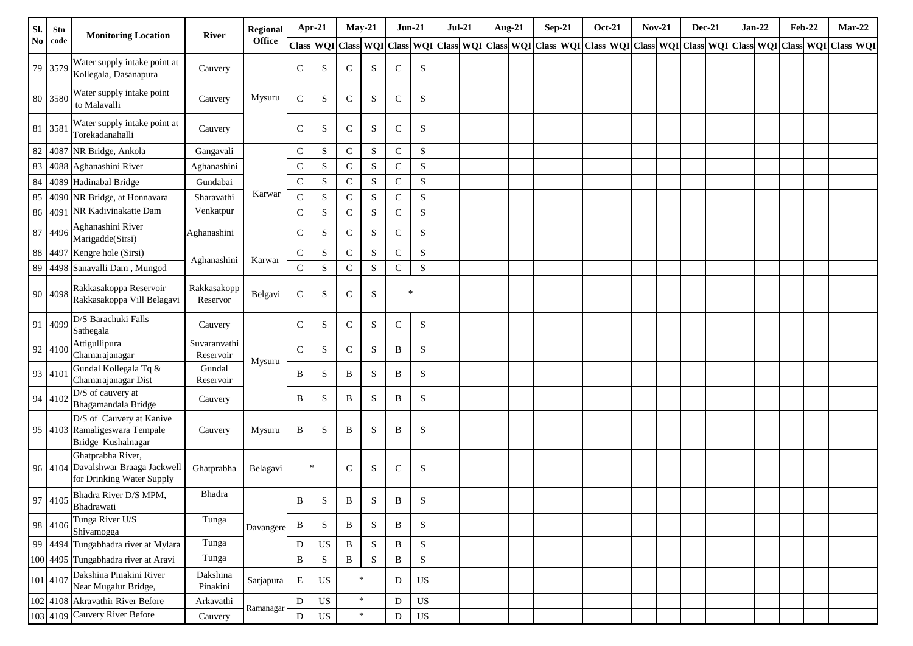| Sl. | Stn      | <b>Monitoring Location</b>                                                           | River                     | <b>Regional</b> | Apr-21        |             | <b>May-21</b> |           | $Jun-21$     |             | $Jul-21$ | Aug-21 | $Sep-21$ | <b>Oct-21</b> | <b>Nov-21</b> | <b>Dec-21</b> | $Jan-22$ | <b>Feb-22</b>                                                                                                                                                                                                                 | $Mar-22$ |  |
|-----|----------|--------------------------------------------------------------------------------------|---------------------------|-----------------|---------------|-------------|---------------|-----------|--------------|-------------|----------|--------|----------|---------------|---------------|---------------|----------|-------------------------------------------------------------------------------------------------------------------------------------------------------------------------------------------------------------------------------|----------|--|
| No. | code     |                                                                                      |                           | <b>Office</b>   |               |             |               |           |              |             |          |        |          |               |               |               |          | Class   WQI   Class   WQI   Class   WQI   Class   WQI   Class   WQI   Class   WQI   Class   WQI   Class   WQI   Class   WQI   Class   WQI   Class   WQI   Class   WQI   Class   WQI   Class   WQI   Class   WQI   Class   WQI |          |  |
|     | 79 3579  | Water supply intake point at<br>Kollegala, Dasanapura                                | Cauvery                   |                 | $\mathsf{C}$  | S           | $\mathbf C$   | S         | $\mathsf{C}$ | S           |          |        |          |               |               |               |          |                                                                                                                                                                                                                               |          |  |
|     | 80 3580  | Water supply intake point<br>to Malavalli                                            | Cauvery                   | Mysuru          | $\mathsf{C}$  | S           | $\mathbf C$   | S         | $\mathbf C$  | S           |          |        |          |               |               |               |          |                                                                                                                                                                                                                               |          |  |
|     | 81 3581  | Water supply intake point at<br>Torekadanahalli                                      | Cauvery                   |                 | $\mathsf{C}$  | S           | $\mathbf C$   | S         | $\mathbf C$  | S           |          |        |          |               |               |               |          |                                                                                                                                                                                                                               |          |  |
|     | 82 4087  | NR Bridge, Ankola                                                                    | Gangavali                 |                 | $\mathsf{C}$  | S           | ${\bf C}$     | ${\bf S}$ | $\mathsf C$  | $\mathbf S$ |          |        |          |               |               |               |          |                                                                                                                                                                                                                               |          |  |
| 83  | 4088     | Aghanashini River                                                                    | Aghanashini               |                 | $\mathsf{C}$  | S           | $\mathbf C$   | S         | $\mathbf C$  | $\mathbf S$ |          |        |          |               |               |               |          |                                                                                                                                                                                                                               |          |  |
| 84  |          | 4089 Hadinabal Bridge                                                                | Gundabai                  |                 | $\mathbf C$   | ${\bf S}$   | ${\bf C}$     | S         | $\mathsf C$  | ${\bf S}$   |          |        |          |               |               |               |          |                                                                                                                                                                                                                               |          |  |
| 85  |          | 4090 NR Bridge, at Honnavara                                                         | Sharavathi                | Karwar          | $\mathsf{C}$  | S           | ${\bf C}$     | ${\bf S}$ | ${\bf C}$    | $\mathbf S$ |          |        |          |               |               |               |          |                                                                                                                                                                                                                               |          |  |
| 86  | 4091     | NR Kadivinakatte Dam                                                                 | Venkatpur                 |                 | $\mathsf{C}$  | S           | ${\bf C}$     | S         | $\mathsf C$  | $\mathbf S$ |          |        |          |               |               |               |          |                                                                                                                                                                                                                               |          |  |
| 87  | 4496     | Aghanashini River<br>Marigadde(Sirsi)                                                | Aghanashini               |                 | $\mathsf{C}$  | S           | $\mathbf C$   | S         | $\mathbf C$  | S           |          |        |          |               |               |               |          |                                                                                                                                                                                                                               |          |  |
| 88  | 4497     | Kengre hole (Sirsi)                                                                  | Aghanashini               | Karwar          | $\mathsf{C}$  | S           | $\mathbf C$   | S         | ${\bf C}$    | $\mathbf S$ |          |        |          |               |               |               |          |                                                                                                                                                                                                                               |          |  |
|     |          | 89 4498 Sanavalli Dam, Mungod                                                        |                           |                 | $\mathcal{C}$ | S           | ${\bf C}$     | S         | ${\bf C}$    | $\mathbf S$ |          |        |          |               |               |               |          |                                                                                                                                                                                                                               |          |  |
|     | 90 4098  | Rakkasakoppa Reservoir<br>Rakkasakoppa Vill Belagavi                                 | Rakkasakopp<br>Reservor   | Belgavi         | $\mathsf{C}$  | S           | $\mathbf C$   | S         | $\ast$       |             |          |        |          |               |               |               |          |                                                                                                                                                                                                                               |          |  |
| 91  | 4099     | D/S Barachuki Falls<br>Sathegala                                                     | Cauvery                   |                 | $\mathsf{C}$  | S           | $\mathbf C$   | S         | $\mathbf C$  | $\mathbf S$ |          |        |          |               |               |               |          |                                                                                                                                                                                                                               |          |  |
|     | 92 4100  | Attigullipura<br>Chamarajanagar                                                      | Suvaranvathi<br>Reservoir | Mysuru          | $\mathcal{C}$ | S           | ${\bf C}$     | S         | B            | S           |          |        |          |               |               |               |          |                                                                                                                                                                                                                               |          |  |
|     | 93 4101  | Gundal Kollegala Tq &<br>Chamarajanagar Dist                                         | Gundal<br>Reservoir       |                 | B             | S           | B             | S         | B            | S           |          |        |          |               |               |               |          |                                                                                                                                                                                                                               |          |  |
|     | 94 4102  | D/S of cauvery at<br>Bhagamandala Bridge                                             | Cauvery                   |                 | B             | S           | B             | S         | B            | S           |          |        |          |               |               |               |          |                                                                                                                                                                                                                               |          |  |
|     |          | D/S of Cauvery at Kanive<br>95 4103 Ramaligeswara Tempale<br>Bridge Kushalnagar      | Cauvery                   | Mysuru          | B             | S           | B             | S         | $\, {\bf B}$ | S           |          |        |          |               |               |               |          |                                                                                                                                                                                                                               |          |  |
|     |          | Ghatprabha River,<br>96 4104 Davalshwar Braaga Jackwell<br>for Drinking Water Supply | Ghatprabha                | Belagavi        | $\ast$        |             | $\mathbf C$   | S         | $\mathbf C$  | S           |          |        |          |               |               |               |          |                                                                                                                                                                                                                               |          |  |
|     |          | 97   4105   Bhadra River D/S MPM,<br>Bhadrawati                                      | Bhadra                    |                 | B             | S.          | $\mathbf{B}$  | S         | B            | S           |          |        |          |               |               |               |          |                                                                                                                                                                                                                               |          |  |
|     | 98 4106  | Tunga River U/S<br>Shivamogga                                                        | Tunga                     | Davangere       | B             | S           | B             | S         | B            | S           |          |        |          |               |               |               |          |                                                                                                                                                                                                                               |          |  |
|     | 99 4494  | Tungabhadra river at Mylara                                                          | Tunga                     |                 | D             | US          | B             | ${\bf S}$ | $\, {\bf B}$ | ${\bf S}$   |          |        |          |               |               |               |          |                                                                                                                                                                                                                               |          |  |
|     |          | 100 4495 Tungabhadra river at Aravi                                                  | Tunga                     |                 | $\, {\bf B}$  | ${\bf S}$   | $\, {\bf B}$  | ${\bf S}$ | $\, {\bf B}$ | $\mathbf S$ |          |        |          |               |               |               |          |                                                                                                                                                                                                                               |          |  |
|     | 101 4107 | Dakshina Pinakini River<br>Near Mugalur Bridge,                                      | Dakshina<br>Pinakini      | Sarjapura       | E             | US          | $\ast$        |           | D            | US          |          |        |          |               |               |               |          |                                                                                                                                                                                                                               |          |  |
|     |          | 102 4108 Akravathir River Before                                                     | Arkavathi                 | Ramanagar       | $\mathbf D$   | $_{\rm US}$ |               | $\ast$    | ${\bf D}$    | US          |          |        |          |               |               |               |          |                                                                                                                                                                                                                               |          |  |
|     |          | 103 4109 Cauvery River Before                                                        | Cauvery                   |                 | D             | $_{\rm US}$ |               | $\ast$    | D            | US          |          |        |          |               |               |               |          |                                                                                                                                                                                                                               |          |  |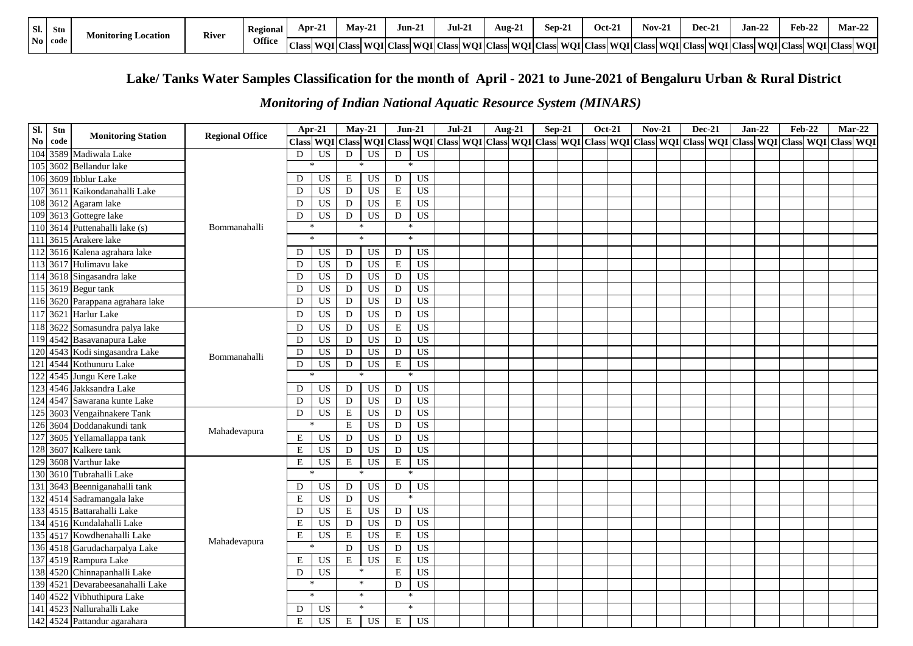| Sl. | Stn            | <b>Monitoring Location</b> | <b>River</b> | Regional      | Apr-2.            | May-21           | Jun-21 | $\mathbf{1}$<br>Jul-21                                              | $\sim$<br>Aug-21 | 8ep 2. | Oct-21 | Nov-1                    | Dec-2. | $\mathbf{A}$<br><b>Jan-22</b> | $Fcb-2$             | Mar-2∠ |
|-----|----------------|----------------------------|--------------|---------------|-------------------|------------------|--------|---------------------------------------------------------------------|------------------|--------|--------|--------------------------|--------|-------------------------------|---------------------|--------|
|     | $\bf{No}$ code |                            |              | <b>Office</b> | $\sim$<br>  Class | <b>WOI</b> Class |        | s  WOI   Class   WOI   Class   WOI   Class   WOI   Class   WOI   Cl |                  |        | Class  | <b>NoIClass WOIClass</b> |        | WOI CI.<br><b>WOI</b> Class   | Class WOI Class WOI |        |

# **Lake/ Tanks Water Samples Classification for the month of April - 2021 to June-2021 of Bengaluru Urban & Rural District**

### *Monitoring of Indian National Aquatic Resource System (MINARS)*

| Sl.              | Stn  | <b>Monitoring Station</b>    | <b>Regional Office</b> | Apr-21        |                 |                         | $May-21$        | $Jun-21$      |                 | $Jul-21$ | Aug-21 | $Sep-21$ | <b>Oct-21</b> | $Nov-21$ | <b>Dec-21</b> | $Jan-22$                                                                                                                                                              | <b>Feb-22</b> |                  | $Mar-22$ |
|------------------|------|------------------------------|------------------------|---------------|-----------------|-------------------------|-----------------|---------------|-----------------|----------|--------|----------|---------------|----------|---------------|-----------------------------------------------------------------------------------------------------------------------------------------------------------------------|---------------|------------------|----------|
| $\mathbf{No}$    | code |                              |                        |               |                 |                         |                 |               |                 |          |        |          |               |          |               | Class   WQI   Class   WQI   Class   WQI   Class   WQI   Class   WQI   Class   WQI   Class   WQI   Class   WQI   Class   WQI   Class   WQI   Class   WQI   Class   WQI |               | <b>Class WOI</b> |          |
| 104              |      | 3589 Madiwala Lake           |                        | $\mathbf D$   | US              | ${\rm D}$               | <b>US</b>       | $\mathbf D$   | US              |          |        |          |               |          |               |                                                                                                                                                                       |               |                  |          |
| 105              | 3602 | <b>Bellandur</b> lake        |                        | $\mathcal{R}$ |                 |                         | ×.              |               |                 |          |        |          |               |          |               |                                                                                                                                                                       |               |                  |          |
| 106              | 3609 | <b>Ibblur</b> Lake           |                        | D             | US              | E                       | US              | $\mathbf D$   | US              |          |        |          |               |          |               |                                                                                                                                                                       |               |                  |          |
| 107              | 3611 | Kaikondanahalli Lake         |                        | D             | <b>US</b>       | ${\rm D}$               | <b>US</b>       | $\mathbf E$   | <b>US</b>       |          |        |          |               |          |               |                                                                                                                                                                       |               |                  |          |
| 108              |      | 3612 Agaram lake             |                        | D             | <b>US</b>       | D                       | <b>US</b>       | $\mathbf E$   | US              |          |        |          |               |          |               |                                                                                                                                                                       |               |                  |          |
| 109              |      | 3613 Gottegre lake           |                        | D             | US              | D                       | US              | D             | $\overline{US}$ |          |        |          |               |          |               |                                                                                                                                                                       |               |                  |          |
| 110              | 3614 | Puttenahalli lake (s)        | Bommanahalli           | $\ast$        |                 |                         | ∗               | $\ast$        |                 |          |        |          |               |          |               |                                                                                                                                                                       |               |                  |          |
| 111              |      | 3615 Arakere lake            |                        | $\ast$        |                 |                         | $\star$         | $\ast$        |                 |          |        |          |               |          |               |                                                                                                                                                                       |               |                  |          |
| 112              |      | 3616 Kalena agrahara lake    |                        | D             | US              | D                       | US              | $\mathbf D$   | <b>US</b>       |          |        |          |               |          |               |                                                                                                                                                                       |               |                  |          |
| 1131             |      | 3617 Hulimavu lake           |                        | D             | $_{\rm US}$     | D                       | <b>US</b>       | ${\bf E}$     | <b>US</b>       |          |        |          |               |          |               |                                                                                                                                                                       |               |                  |          |
| 114              | 3618 | Singasandra lake             |                        | D             | <b>US</b>       | ${\bf D}$               | <b>US</b>       | $\mathbf D$   | <b>US</b>       |          |        |          |               |          |               |                                                                                                                                                                       |               |                  |          |
| 115              |      | 3619 Begur tank              |                        | D             | US              | ${\rm D}$               | <b>US</b>       | $\mathbf D$   | <b>US</b>       |          |        |          |               |          |               |                                                                                                                                                                       |               |                  |          |
| 116              |      | 3620 Parappana agrahara lake |                        | D             | $_{\rm US}$     | ${\rm D}$               | <b>US</b>       | $\mathbf D$   | <b>US</b>       |          |        |          |               |          |               |                                                                                                                                                                       |               |                  |          |
| 117              | 3621 | Harlur Lake                  |                        | D             | <b>US</b>       | D                       | <b>US</b>       | D             | US              |          |        |          |               |          |               |                                                                                                                                                                       |               |                  |          |
| 118              | 3622 | Somasundra palya lake        |                        | D             | <b>US</b>       | D                       | <b>US</b>       | $\mathbf E$   | <b>US</b>       |          |        |          |               |          |               |                                                                                                                                                                       |               |                  |          |
|                  |      | 119 4542 Basavanapura Lake   |                        | D             | US              | $\mathbf D$             | <b>US</b>       | $\mathbf D$   | <b>US</b>       |          |        |          |               |          |               |                                                                                                                                                                       |               |                  |          |
| 120              |      | 4543 Kodi singasandra Lake   | Bommanahalli           | D             | $_{\rm US}$     | ${\rm D}$               | <b>US</b>       | $\mathbf D$   | <b>US</b>       |          |        |          |               |          |               |                                                                                                                                                                       |               |                  |          |
| 121              |      | 4544 Kothunuru Lake          |                        | $\mathbf D$   | US              | D                       | US              | ${\bf E}$     | <b>US</b>       |          |        |          |               |          |               |                                                                                                                                                                       |               |                  |          |
| $\overline{122}$ | 4545 | Jungu Kere Lake              |                        |               |                 |                         | sk.             | <b>Sk</b>     |                 |          |        |          |               |          |               |                                                                                                                                                                       |               |                  |          |
| 123              | 4546 | Jakksandra Lake              |                        | D             | <b>US</b>       | D                       | <b>US</b>       | ${\bf D}$     | $\overline{US}$ |          |        |          |               |          |               |                                                                                                                                                                       |               |                  |          |
| 124              | 4547 | Sawarana kunte Lake          |                        | D             | $_{\rm US}$     | ${\rm D}$               | <b>US</b>       | $\mathbf D$   | <b>US</b>       |          |        |          |               |          |               |                                                                                                                                                                       |               |                  |          |
| 125              | 3603 | Vengaihnakere Tank           |                        | $\mathbf D$   | $\overline{US}$ | $\overline{\mathrm{E}}$ | $\overline{US}$ | $\mathbf D$   | <b>US</b>       |          |        |          |               |          |               |                                                                                                                                                                       |               |                  |          |
| 126              |      | 3604 Doddanakundi tank       | Mahadevapura           | $\ast$        |                 | $\mathbf E$             | <b>US</b>       | D             | <b>US</b>       |          |        |          |               |          |               |                                                                                                                                                                       |               |                  |          |
| 127              |      | 3605 Yellamallappa tank      |                        | $\mathbf E$   | <b>US</b>       | ${\rm D}$               | <b>US</b>       | D             | <b>US</b>       |          |        |          |               |          |               |                                                                                                                                                                       |               |                  |          |
| 128              | 3607 | Kalkere tank                 |                        | $\mathbf E$   | US              | D                       | <b>US</b>       | D             | <b>US</b>       |          |        |          |               |          |               |                                                                                                                                                                       |               |                  |          |
| 129              | 3608 | Varthur lake                 |                        | $\mathbf E$   | US              | ${\bf E}$               | US              | ${\bf E}$     | <b>US</b>       |          |        |          |               |          |               |                                                                                                                                                                       |               |                  |          |
| 130              |      | 3610 Tubrahalli Lake         |                        |               |                 |                         | ×.              | $\mathcal{H}$ |                 |          |        |          |               |          |               |                                                                                                                                                                       |               |                  |          |
| 131              |      | 3643 Beenniganahalli tank    |                        | D             | US              | D                       | <b>US</b>       | ${\rm D}$     | US              |          |        |          |               |          |               |                                                                                                                                                                       |               |                  |          |
| 132              |      | 4514 Sadramangala lake       |                        | $\mathbf E$   | US              | ${\rm D}$               | <b>US</b>       | $\mathbf{x}$  |                 |          |        |          |               |          |               |                                                                                                                                                                       |               |                  |          |
| 133              |      | 4515 Battarahalli Lake       |                        | D             | <b>US</b>       | $\mathbf E$             | <b>US</b>       | $\mathbf D$   | $\overline{US}$ |          |        |          |               |          |               |                                                                                                                                                                       |               |                  |          |
| 134              |      | 4516 Kundalahalli Lake       |                        | $\mathbf E$   | <b>US</b>       | ${\rm D}$               | <b>US</b>       | $\mathbf D$   | <b>US</b>       |          |        |          |               |          |               |                                                                                                                                                                       |               |                  |          |
|                  |      | 135 4517 Kowdhenahalli Lake  | Mahadevapura           | $\mathbf E$   | <b>US</b>       | $\mathbf E$             | <b>US</b>       | $\mathbf E$   | <b>US</b>       |          |        |          |               |          |               |                                                                                                                                                                       |               |                  |          |
| 136              |      | 4518 Garudacharpalya Lake    |                        | ×,            |                 | D                       | <b>US</b>       | D             | <b>US</b>       |          |        |          |               |          |               |                                                                                                                                                                       |               |                  |          |
| 137              |      | 4519 Rampura Lake            |                        | E             | US              | ${\bf E}$               | US              | ${\bf E}$     | <b>US</b>       |          |        |          |               |          |               |                                                                                                                                                                       |               |                  |          |
| 138              | 4520 | Chinnapanhalli Lake          |                        | D             | US              |                         | $\ast$          | $\mathbf E$   | <b>US</b>       |          |        |          |               |          |               |                                                                                                                                                                       |               |                  |          |
| 139              | 4521 | Devarabeesanahalli Lake      |                        | $\star$       |                 |                         | $\ast$          | D             | <b>US</b>       |          |        |          |               |          |               |                                                                                                                                                                       |               |                  |          |
|                  |      | 140 4522 Vibhuthipura Lake   |                        | $\ast$        |                 |                         | $\ast$          | $\ast$        |                 |          |        |          |               |          |               |                                                                                                                                                                       |               |                  |          |
| 141              |      | 4523 Nallurahalli Lake       |                        | D             | <b>US</b>       |                         | $\ast$          | $\ast$        |                 |          |        |          |               |          |               |                                                                                                                                                                       |               |                  |          |
|                  |      | 142 4524 Pattandur agarahara |                        | $\mathbf E$   | <b>US</b>       | Е                       | US              | $\mathbf E$   | <b>US</b>       |          |        |          |               |          |               |                                                                                                                                                                       |               |                  |          |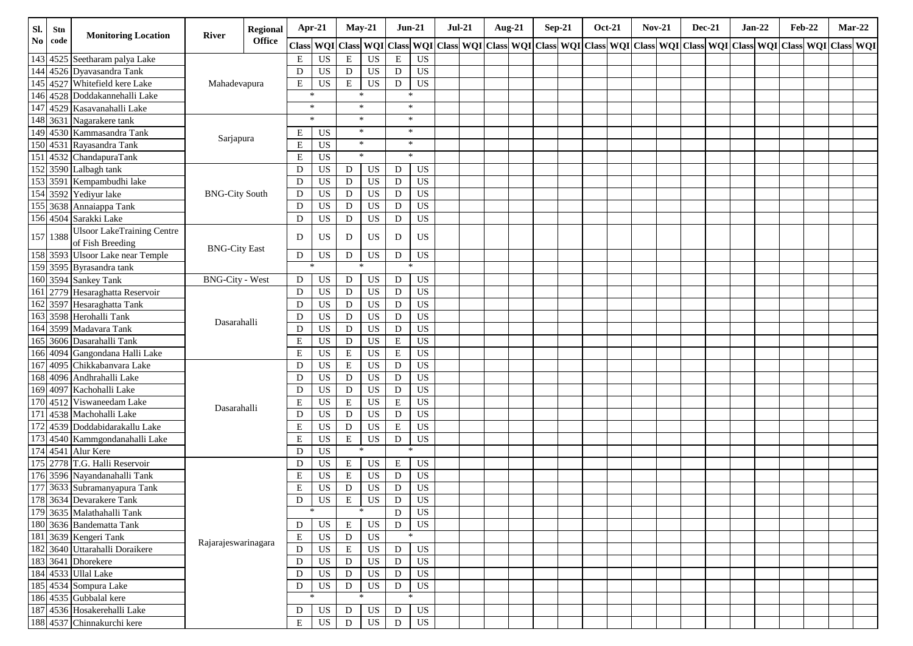| Sl.                    | Stn      | <b>Monitoring Location</b>        |                        | Apr-21<br>Regional<br>River<br><b>Office</b>      |              |                 |             | $May-21$    |             | $Jun-21$                                                                                                                           | <b>Jul-21</b> | <b>Aug-21</b> | $Sep-21$ |  | <b>Oct-21</b> | <b>Nov-21</b> | <b>Dec-21</b> | $Jan-22$ | <b>Feb-22</b> |  | $Mar-22$ |
|------------------------|----------|-----------------------------------|------------------------|---------------------------------------------------|--------------|-----------------|-------------|-------------|-------------|------------------------------------------------------------------------------------------------------------------------------------|---------------|---------------|----------|--|---------------|---------------|---------------|----------|---------------|--|----------|
| $\mathbf{N}\mathbf{o}$ | code     |                                   |                        |                                                   | <b>Class</b> |                 |             |             |             | WQI Class  WQI Class  WQI Class  WQI Class  WQI Class  WQI Class  WQI Class  WQI Class  WQI Class  WQI Class  WQI Class  WQI Class |               |               |          |  |               |               |               |          |               |  |          |
|                        |          | 143 4525 Seetharam palya Lake     |                        |                                                   | Е            | $_{\rm US}$     | $\mathbf E$ | $_{\rm US}$ | $\mathbf E$ | <b>US</b>                                                                                                                          |               |               |          |  |               |               |               |          |               |  |          |
| 144                    |          | 4526 Dyavasandra Tank             |                        |                                                   | D            | US              | $\mathbf D$ | <b>US</b>   | D           | <b>US</b>                                                                                                                          |               |               |          |  |               |               |               |          |               |  |          |
| 145                    |          | 4527 Whitefield kere Lake         | Mahadevapura           |                                                   | E            | <b>US</b>       | E           | <b>US</b>   | D           | <b>US</b>                                                                                                                          |               |               |          |  |               |               |               |          |               |  |          |
|                        |          | 146 4528 Doddakannehalli Lake     |                        |                                                   |              | $\ast$          |             | $\ast$      |             | $\ast$                                                                                                                             |               |               |          |  |               |               |               |          |               |  |          |
| 147                    |          | 4529 Kasavanahalli Lake           |                        |                                                   |              | $\ast$          |             | $\ast$      |             | $\ast$                                                                                                                             |               |               |          |  |               |               |               |          |               |  |          |
| 148                    |          | 3631 Nagarakere tank              |                        |                                                   |              | $\ast$          |             | $\ast$      |             | $\ast$                                                                                                                             |               |               |          |  |               |               |               |          |               |  |          |
| 149                    |          | 4530 Kammasandra Tank             | Sarjapura              |                                                   | Е            | <b>US</b>       |             | $\ast$      |             | $\ast$                                                                                                                             |               |               |          |  |               |               |               |          |               |  |          |
|                        |          | 150 4531 Rayasandra Tank          |                        |                                                   | E            | <b>US</b>       |             | $\ast$      |             | $\ast$                                                                                                                             |               |               |          |  |               |               |               |          |               |  |          |
|                        |          | 151 4532 ChandapuraTank           |                        |                                                   | E            | US              |             | $\ast$      |             | $\ast$                                                                                                                             |               |               |          |  |               |               |               |          |               |  |          |
|                        |          | 152 3590 Lalbagh tank             |                        |                                                   | D            | US              | D           | US          | D           | US                                                                                                                                 |               |               |          |  |               |               |               |          |               |  |          |
|                        |          | 153 3591 Kempambudhi lake         |                        |                                                   | D            | US              | D           | <b>US</b>   | D           | US                                                                                                                                 |               |               |          |  |               |               |               |          |               |  |          |
|                        |          | 154 3592 Yediyur lake             | <b>BNG-City South</b>  |                                                   | D            | US              | D           | <b>US</b>   | D           | <b>US</b>                                                                                                                          |               |               |          |  |               |               |               |          |               |  |          |
|                        |          | 155 3638 Annaiappa Tank           |                        | D<br>D<br>D<br><b>BNG-City East</b>               |              |                 | $\mathbf D$ | <b>US</b>   | D           | <b>US</b>                                                                                                                          |               |               |          |  |               |               |               |          |               |  |          |
|                        |          | 156 4504 Sarakki Lake             |                        |                                                   |              |                 | $\mathbf D$ | <b>US</b>   | D           | <b>US</b>                                                                                                                          |               |               |          |  |               |               |               |          |               |  |          |
|                        | 157 1388 | <b>Ulsoor LakeTraining Centre</b> |                        |                                                   |              |                 | D           | <b>US</b>   | D           | US                                                                                                                                 |               |               |          |  |               |               |               |          |               |  |          |
|                        |          | of Fish Breeding                  |                        |                                                   |              |                 |             |             |             |                                                                                                                                    |               |               |          |  |               |               |               |          |               |  |          |
|                        |          | 158 3593 Ulsoor Lake near Temple  |                        |                                                   | D            | US              | ${\rm D}$   | <b>US</b>   | D           | <b>US</b>                                                                                                                          |               |               |          |  |               |               |               |          |               |  |          |
|                        |          | 159 3595 Byrasandra tank          |                        |                                                   |              | *               |             |             |             | $\ast$                                                                                                                             |               |               |          |  |               |               |               |          |               |  |          |
|                        |          | 160 3594 Sankey Tank              | <b>BNG-City - West</b> |                                                   | D            | US              | D           | <b>US</b>   | D           | US                                                                                                                                 |               |               |          |  |               |               |               |          |               |  |          |
| 161                    |          | 2779 Hesaraghatta Reservoir       |                        |                                                   | D            | US              | $\mathbf D$ | <b>US</b>   | D           | <b>US</b>                                                                                                                          |               |               |          |  |               |               |               |          |               |  |          |
| 162                    |          | 3597 Hesaraghatta Tank            |                        |                                                   | D            | US              | D           | <b>US</b>   | D           | <b>US</b>                                                                                                                          |               |               |          |  |               |               |               |          |               |  |          |
| 163                    |          | 3598 Herohalli Tank               | Dasarahalli            |                                                   | D            | US              | ${\rm D}$   | US          | D           | <b>US</b>                                                                                                                          |               |               |          |  |               |               |               |          |               |  |          |
| 164                    |          | 3599 Madavara Tank                |                        |                                                   | D            | US              | ${\rm D}$   | US          | D           | <b>US</b>                                                                                                                          |               |               |          |  |               |               |               |          |               |  |          |
| 165                    |          | 3606 Dasarahalli Tank             |                        |                                                   | ${\bf E}$    | US              | ${\rm D}$   | US          | $\mathbf E$ | <b>US</b>                                                                                                                          |               |               |          |  |               |               |               |          |               |  |          |
| 166                    |          | 4094 Gangondana Halli Lake        |                        |                                                   | E            | US              | ${\bf E}$   | <b>US</b>   | $\mathbf E$ | US                                                                                                                                 |               |               |          |  |               |               |               |          |               |  |          |
| 167                    |          | 4095 Chikkabanyara Lake           |                        |                                                   | D            | US              | ${\bf E}$   | <b>US</b>   | D           | <b>US</b>                                                                                                                          |               |               |          |  |               |               |               |          |               |  |          |
| 168                    |          | 4096 Andhrahalli Lake             |                        |                                                   | D            | US              | ${\bf D}$   | US          | $\mathbf D$ | US                                                                                                                                 |               |               |          |  |               |               |               |          |               |  |          |
| 169                    |          | 4097 Kachohalli Lake              |                        |                                                   | D            | US              | ${\rm D}$   | US          | D           | <b>US</b>                                                                                                                          |               |               |          |  |               |               |               |          |               |  |          |
| 170                    |          | 4512 Viswaneedam Lake             | Dasarahalli            |                                                   | E            | US              | E           | <b>US</b>   | Е           | US                                                                                                                                 |               |               |          |  |               |               |               |          |               |  |          |
| 171                    |          | 4538 Machohalli Lake              |                        |                                                   | D            | <b>US</b>       | ${\bf D}$   | <b>US</b>   | D           | <b>US</b>                                                                                                                          |               |               |          |  |               |               |               |          |               |  |          |
| $\overline{172}$       |          | 4539 Doddabidarakallu Lake        |                        |                                                   | E            | US              | D           | <b>US</b>   | Е           | <b>US</b>                                                                                                                          |               |               |          |  |               |               |               |          |               |  |          |
|                        |          | 173 4540 Kammgondanahalli Lake    |                        |                                                   | Е            | US              | ${\bf E}$   | US          | D           | <b>US</b>                                                                                                                          |               |               |          |  |               |               |               |          |               |  |          |
|                        |          | 174 4541 Alur Kere                |                        |                                                   | D            | <b>US</b>       |             | $\ast$      |             | $\ast$                                                                                                                             |               |               |          |  |               |               |               |          |               |  |          |
|                        |          | 175 2778 T.G. Halli Reservoir     |                        |                                                   | D            | US              | ${\bf E}$   | <b>US</b>   | $\mathbf E$ | <b>US</b>                                                                                                                          |               |               |          |  |               |               |               |          |               |  |          |
|                        |          | 176 3596 Nayandanahalli Tank      |                        |                                                   | E            | US              | ${\bf E}$   | <b>US</b>   | D           | US                                                                                                                                 |               |               |          |  |               |               |               |          |               |  |          |
|                        |          | 177 3633 Subramanyapura Tank      |                        |                                                   | E            | US              | $\mathbf D$ | <b>US</b>   | $\mathbf D$ | US                                                                                                                                 |               |               |          |  |               |               |               |          |               |  |          |
|                        |          | 178 3634 Devarakere Tank          |                        |                                                   | D            | $\overline{US}$ | E           | <b>US</b>   | $\mathbf D$ | <b>US</b>                                                                                                                          |               |               |          |  |               |               |               |          |               |  |          |
|                        |          | 179 3635 Malathahalli Tank        |                        |                                                   |              | $\ast$          |             | $\ast$      | $\mathbf D$ | US                                                                                                                                 |               |               |          |  |               |               |               |          |               |  |          |
|                        |          | 180 3636 Bandematta Tank          |                        |                                                   | D            | US              | $\mathbf E$ | US          | D           | US                                                                                                                                 |               |               |          |  |               |               |               |          |               |  |          |
|                        |          | 181 3639 Kengeri Tank             |                        |                                                   | Е            | US              | ${\bf D}$   | <b>US</b>   |             | $\ast$                                                                                                                             |               |               |          |  |               |               |               |          |               |  |          |
|                        |          | 182 3640 Uttarahalli Doraikere    |                        | Rajarajeswarinagara<br>$\mathbf D$<br>D<br>D<br>D |              | US              | ${\bf E}$   | <b>US</b>   | D           | US                                                                                                                                 |               |               |          |  |               |               |               |          |               |  |          |
|                        |          | 183 3641 Dhorekere                |                        |                                                   |              | US              | D           | US          | D           | US                                                                                                                                 |               |               |          |  |               |               |               |          |               |  |          |
|                        |          | 184 4533 Ullal Lake               |                        |                                                   |              | US              | ${\rm D}$   | <b>US</b>   | D           | US                                                                                                                                 |               |               |          |  |               |               |               |          |               |  |          |
|                        |          | 185 4534 Sompura Lake             |                        |                                                   |              | US              | ${\rm D}$   | <b>US</b>   | D           | US                                                                                                                                 |               |               |          |  |               |               |               |          |               |  |          |
|                        |          | 186 4535 Gubbalal kere            |                        |                                                   |              |                 |             |             |             | $\ast$                                                                                                                             |               |               |          |  |               |               |               |          |               |  |          |
|                        |          | 187 4536 Hosakerehalli Lake       |                        |                                                   | D            | US              | D           | US          | D           | US                                                                                                                                 |               |               |          |  |               |               |               |          |               |  |          |
|                        |          | 188 4537 Chinnakurchi kere        |                        |                                                   | Е            | $_{\rm US}$     | ${\rm D}$   | US          | D           | US                                                                                                                                 |               |               |          |  |               |               |               |          |               |  |          |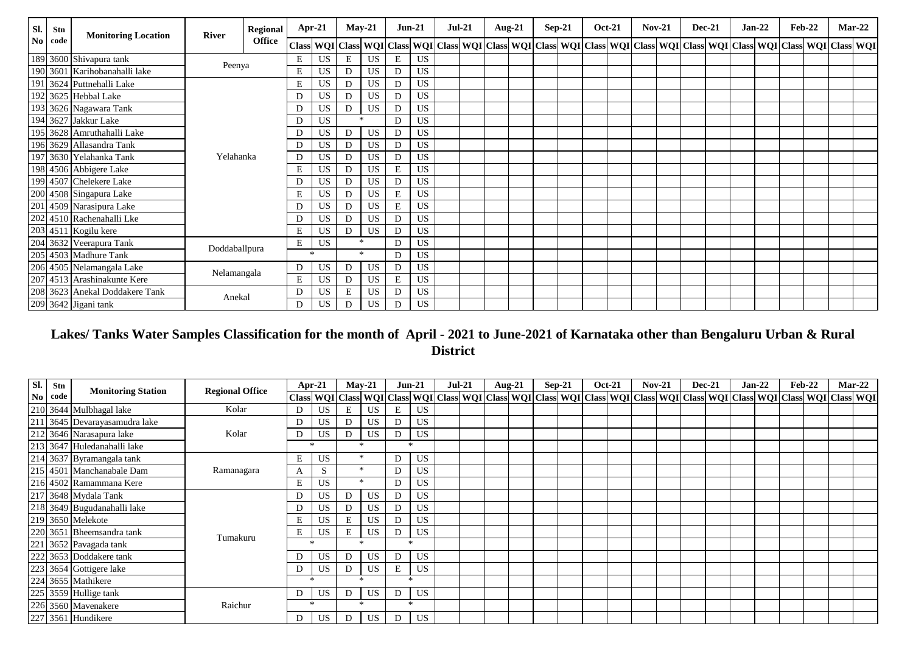| Sl.            | Stn  | <b>Monitoring Location</b>     | <b>River</b>  | Regional         |    | $Apr-21$  |                                                                                                                                                                        | $May-21$  |   | <b>Jun-21</b> | <b>Jul-21</b> |  | <b>Aug-21</b> | $Sep-21$ | <b>Oct-21</b> | $Nov-21$ | <b>Dec-21</b> | $Jan-22$ |  | <b>Feb-22</b> | $Mar-22$ |
|----------------|------|--------------------------------|---------------|------------------|----|-----------|------------------------------------------------------------------------------------------------------------------------------------------------------------------------|-----------|---|---------------|---------------|--|---------------|----------|---------------|----------|---------------|----------|--|---------------|----------|
| N <sub>0</sub> | code |                                |               | <b>Office</b>    |    |           | Class  WQI   Class  WQI   Class  WQI   Class  WQI   Class  WQI   Class  WQI   Class  WQI   Class  WQI   Class  WQI   Class  WQI   Class  WQI   Class  WQI   Class  WQI |           |   |               |               |  |               |          |               |          |               |          |  |               |          |
|                |      | 189 3600 Shivapura tank        | Peenya        |                  | Е  | US        | E                                                                                                                                                                      | <b>US</b> | E | <b>US</b>     |               |  |               |          |               |          |               |          |  |               |          |
|                |      | 190 3601 Karihobanahalli lake  |               |                  | E  | <b>US</b> | D                                                                                                                                                                      | US        | D | <b>US</b>     |               |  |               |          |               |          |               |          |  |               |          |
|                |      | 191 3624 Puttnehalli Lake      |               | E<br>D<br>D<br>D |    | <b>US</b> | D                                                                                                                                                                      | <b>US</b> | D | <b>US</b>     |               |  |               |          |               |          |               |          |  |               |          |
|                |      | 192 3625 Hebbal Lake           |               |                  |    | <b>US</b> | D                                                                                                                                                                      | US        | D | US            |               |  |               |          |               |          |               |          |  |               |          |
|                |      | 193 3626 Nagawara Tank         |               |                  |    | US        | D                                                                                                                                                                      | US        | D | <b>US</b>     |               |  |               |          |               |          |               |          |  |               |          |
|                |      | 194 3627 Jakkur Lake           |               |                  |    | US        |                                                                                                                                                                        | $\ast$    | D | <b>US</b>     |               |  |               |          |               |          |               |          |  |               |          |
|                |      | 195 3628 Amruthahalli Lake     |               |                  | D  | US        | D                                                                                                                                                                      | US        | D | <b>US</b>     |               |  |               |          |               |          |               |          |  |               |          |
|                |      | 196 3629 Allasandra Tank       |               |                  | D  | <b>US</b> | D                                                                                                                                                                      | US        | D | <b>US</b>     |               |  |               |          |               |          |               |          |  |               |          |
|                |      | 197 3630 Yelahanka Tank        | Yelahanka     |                  | D  | <b>US</b> | D                                                                                                                                                                      | US        | D | <b>US</b>     |               |  |               |          |               |          |               |          |  |               |          |
|                |      | 198 4506 Abbigere Lake         |               |                  | E  | US        | D                                                                                                                                                                      | <b>US</b> | E | <b>US</b>     |               |  |               |          |               |          |               |          |  |               |          |
|                |      | 199 4507 Chelekere Lake        |               |                  | D. | <b>US</b> | D                                                                                                                                                                      | <b>US</b> | D | <b>US</b>     |               |  |               |          |               |          |               |          |  |               |          |
|                |      | 200 4508 Singapura Lake        |               |                  | E  | US        | D                                                                                                                                                                      | US        | E | <b>US</b>     |               |  |               |          |               |          |               |          |  |               |          |
|                |      | 201 4509 Narasipura Lake       |               |                  | D  | <b>US</b> | D                                                                                                                                                                      | <b>US</b> | E | <b>US</b>     |               |  |               |          |               |          |               |          |  |               |          |
|                |      | 202 4510 Rachenahalli Lke      |               |                  | D  | US        | D                                                                                                                                                                      | US        | D | <b>US</b>     |               |  |               |          |               |          |               |          |  |               |          |
|                |      | 203 4511 Kogilu kere           |               |                  | E  | US        | D                                                                                                                                                                      | US        | D | <b>US</b>     |               |  |               |          |               |          |               |          |  |               |          |
|                |      | 204 3632 Veerapura Tank        | Doddaballpura |                  | E  | US        |                                                                                                                                                                        | $\star$   | D | <b>US</b>     |               |  |               |          |               |          |               |          |  |               |          |
|                |      | 205 4503 Madhure Tank          |               |                  |    | $\ast$    |                                                                                                                                                                        | $\star$   | D | <b>US</b>     |               |  |               |          |               |          |               |          |  |               |          |
|                |      | 206 4505 Nelamangala Lake      | Nelamangala   |                  | D  | <b>US</b> | D                                                                                                                                                                      | US        | D | <b>US</b>     |               |  |               |          |               |          |               |          |  |               |          |
|                |      | 207 4513 Arashinakunte Kere    |               |                  | E  | <b>US</b> | D                                                                                                                                                                      | <b>US</b> | E | <b>US</b>     |               |  |               |          |               |          |               |          |  |               |          |
|                |      | 208 3623 Anekal Doddakere Tank | Anekal        |                  | D  | US        | E                                                                                                                                                                      | <b>US</b> | D | <b>US</b>     |               |  |               |          |               |          |               |          |  |               |          |
|                |      | 209 3642 Jigani tank           |               |                  | D  | US        | D                                                                                                                                                                      | US        | D | <b>US</b>     |               |  |               |          |               |          |               |          |  |               |          |

# **Lakes/ Tanks Water Samples Classification for the month of April - 2021 to June-2021 of Karnataka other than Bengaluru Urban & Rural District**

| SI. | Stn  |                               | <b>Regional Office</b> |        | $Apr-21$  |   | $May-21$  |   | $Jun-21$  | $Jul-21$                                                                                                                                                                                                                     | Aug-21 | $Sep-21$ | <b>Oct-21</b> | $Nov-21$ | <b>Dec-21</b> |  | $Jan-22$ | Feb-22 |  | $Mar-22$ |
|-----|------|-------------------------------|------------------------|--------|-----------|---|-----------|---|-----------|------------------------------------------------------------------------------------------------------------------------------------------------------------------------------------------------------------------------------|--------|----------|---------------|----------|---------------|--|----------|--------|--|----------|
| No. | code | <b>Monitoring Station</b>     |                        |        |           |   |           |   |           | Class   WQI   Class   WQI   Class   WQI   Class   WQI   Class   WQI   Class   WQI   Class   WQI   Class   WQI   Class   WQI   Class   WQI   Class   WQI   Class   WQI   Class   WQI   Class   WQI   Class   WQI   Class   WQ |        |          |               |          |               |  |          |        |  |          |
|     |      | 210 3644 Mulbhagal lake       | Kolar                  |        | US        | E | US        | E |           |                                                                                                                                                                                                                              |        |          |               |          |               |  |          |        |  |          |
|     |      | 211 3645 Devarayasamudra lake |                        |        | US        | D | <b>US</b> | D | <b>US</b> |                                                                                                                                                                                                                              |        |          |               |          |               |  |          |        |  |          |
|     |      | 212 3646 Narasapura lake      | Kolar                  | D      | US        | D | <b>US</b> | D | US        |                                                                                                                                                                                                                              |        |          |               |          |               |  |          |        |  |          |
|     |      | 213 3647 Huledanahalli lake   |                        |        |           |   |           |   | $\star$   |                                                                                                                                                                                                                              |        |          |               |          |               |  |          |        |  |          |
|     |      | 214 3637 Byramangala tank     |                        | E      | <b>US</b> |   | $\ast$    | D | US        |                                                                                                                                                                                                                              |        |          |               |          |               |  |          |        |  |          |
|     |      | 215 4501 Manchanabale Dam     | Ramanagara             | A      | S         |   |           | D | US        |                                                                                                                                                                                                                              |        |          |               |          |               |  |          |        |  |          |
|     |      | 216 4502 Ramammana Kere       |                        | E      | US        |   |           | D | US        |                                                                                                                                                                                                                              |        |          |               |          |               |  |          |        |  |          |
|     |      | 217 3648 Mydala Tank          |                        |        | US.       | D | <b>US</b> | D | US        |                                                                                                                                                                                                                              |        |          |               |          |               |  |          |        |  |          |
|     |      | 218 3649 Bugudanahalli lake   |                        |        | US        | D | <b>US</b> | D | US        |                                                                                                                                                                                                                              |        |          |               |          |               |  |          |        |  |          |
|     |      | 219 3650 Melekote             |                        | E      | US        | E | US        | D | US        |                                                                                                                                                                                                                              |        |          |               |          |               |  |          |        |  |          |
|     |      | 220 3651 Bheemsandra tank     | Tumakuru               | Е      | <b>US</b> | E | <b>US</b> | D | US        |                                                                                                                                                                                                                              |        |          |               |          |               |  |          |        |  |          |
|     |      | 221 3652 Pavagada tank        |                        |        |           |   |           |   | ÷         |                                                                                                                                                                                                                              |        |          |               |          |               |  |          |        |  |          |
|     |      | 222 3653 Doddakere tank       |                        |        | <b>US</b> | D | <b>US</b> | D | US        |                                                                                                                                                                                                                              |        |          |               |          |               |  |          |        |  |          |
|     |      | 223 3654 Gottigere lake       |                        |        | US.       | D | <b>US</b> | E | US        |                                                                                                                                                                                                                              |        |          |               |          |               |  |          |        |  |          |
|     |      | 224 3655 Mathikere            |                        | $\ast$ |           |   |           |   | $\star$   |                                                                                                                                                                                                                              |        |          |               |          |               |  |          |        |  |          |
|     |      | 225 3559 Hullige tank         |                        | D      | US        | D | <b>US</b> | D | US        |                                                                                                                                                                                                                              |        |          |               |          |               |  |          |        |  |          |
|     |      | 226 3560 Mavenakere           | Raichur                |        | $*$       |   | $\star$   |   | $\ast$    |                                                                                                                                                                                                                              |        |          |               |          |               |  |          |        |  |          |
|     |      | 227 3561 Hundikere            |                        | D      | <b>US</b> | D | US        | D | US        |                                                                                                                                                                                                                              |        |          |               |          |               |  |          |        |  |          |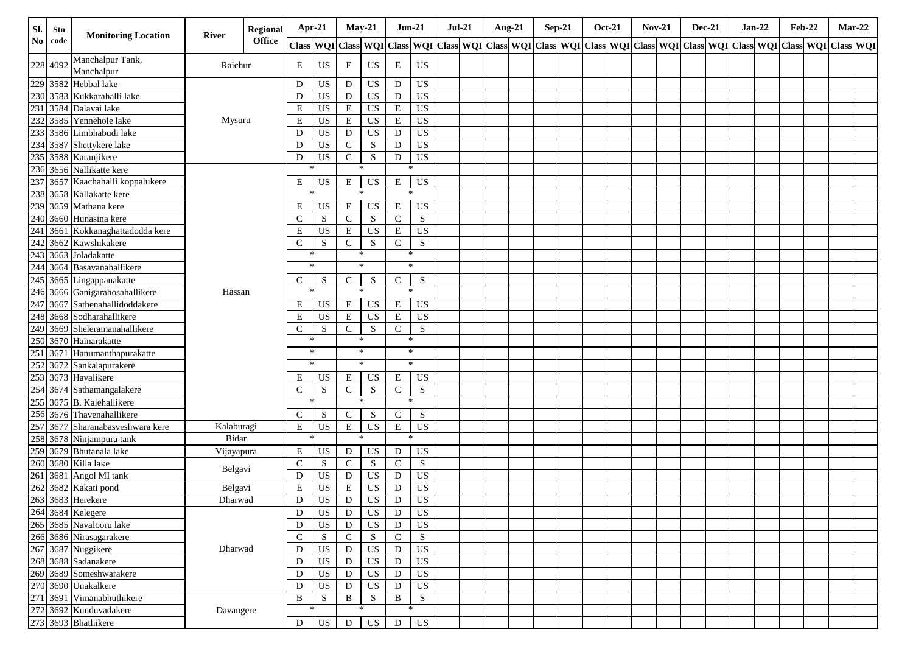| Sl.                    | Stn      | <b>Monitoring Location</b>                | <b>River</b> | <b>Regional</b> | Apr-21        |             | $May-21$       |           |              | $Jun-21$        | $Jul-21$ | <b>Aug-21</b> |  | $Sep-21$ | <b>Oct-21</b> | <b>Nov-21</b> |  | <b>Dec-21</b> | $Jan-22$ | <b>Feb-22</b>                                                                                                                                                                                                                 |  | $Mar-22$ |
|------------------------|----------|-------------------------------------------|--------------|-----------------|---------------|-------------|----------------|-----------|--------------|-----------------|----------|---------------|--|----------|---------------|---------------|--|---------------|----------|-------------------------------------------------------------------------------------------------------------------------------------------------------------------------------------------------------------------------------|--|----------|
| $\mathbf{N}\mathbf{o}$ | code     |                                           |              | <b>Office</b>   |               |             |                |           |              |                 |          |               |  |          |               |               |  |               |          | Class   WQI   Class   WQI   Class   WQI   Class   WQI   Class   WQI   Class   WQI   Class   WQI   Class   WQI   Class   WQI   Class   WQI   Class   WQI   Class   WQI   Class   WQI   Class   WQI   Class   WQI   Class   WQI |  |          |
|                        | 228 4092 | Manchalpur Tank,<br>Manchalpur            | Raichur      |                 | E             | US          | E              | US        | $\mathbf E$  | $_{\rm US}$     |          |               |  |          |               |               |  |               |          |                                                                                                                                                                                                                               |  |          |
|                        | 229 3582 | Hebbal lake                               |              |                 | D             | US          | D              | US        | $\mathbf D$  | <b>US</b>       |          |               |  |          |               |               |  |               |          |                                                                                                                                                                                                                               |  |          |
|                        |          | 230 3583 Kukkarahalli lake                |              |                 | D             | US          | D              | <b>US</b> | D            | US              |          |               |  |          |               |               |  |               |          |                                                                                                                                                                                                                               |  |          |
| 231                    |          | 3584 Dalavai lake                         |              |                 | E             | US          | $\mathbf E$    | US        | $\mathbf E$  | <b>US</b>       |          |               |  |          |               |               |  |               |          |                                                                                                                                                                                                                               |  |          |
|                        |          | 232 3585 Yennehole lake                   | Mysuru       |                 | $\mathbf E$   | US          | ${\bf E}$      | US        | $\mathbf E$  | <b>US</b>       |          |               |  |          |               |               |  |               |          |                                                                                                                                                                                                                               |  |          |
| 233                    |          | 3586 Limbhabudi lake                      |              |                 | D             | US          | D              | US        | D            | US              |          |               |  |          |               |               |  |               |          |                                                                                                                                                                                                                               |  |          |
|                        |          | 234 3587 Shettykere lake                  |              |                 | D             | $_{\rm US}$ | ${\bf C}$      | S         | D            | <b>US</b>       |          |               |  |          |               |               |  |               |          |                                                                                                                                                                                                                               |  |          |
|                        |          | 235 3588 Karanjikere                      |              |                 | D             | US          | ${\bf C}$      | ${\bf S}$ | D            | US              |          |               |  |          |               |               |  |               |          |                                                                                                                                                                                                                               |  |          |
|                        |          | 236 3656 Nallikatte kere                  |              |                 | $\ast$        |             |                | $\ast$    |              | $\ast$          |          |               |  |          |               |               |  |               |          |                                                                                                                                                                                                                               |  |          |
|                        |          | 237 3657 Kaachahalli koppalukere          |              |                 | Е             | US          | E              | US        | E            | <b>US</b>       |          |               |  |          |               |               |  |               |          |                                                                                                                                                                                                                               |  |          |
|                        |          | 238 3658 Kallakatte kere                  |              |                 | $\ast$        |             | $\star$        |           |              | $\ast$          |          |               |  |          |               |               |  |               |          |                                                                                                                                                                                                                               |  |          |
|                        |          | 239 3659 Mathana kere                     |              |                 | E             | US          | Ε              | US        | $\mathbf E$  | US              |          |               |  |          |               |               |  |               |          |                                                                                                                                                                                                                               |  |          |
|                        |          | 240 3660 Hunasina kere                    |              |                 | $\mathcal{C}$ | S           | $\mathbf C$    | S         | $\mathsf{C}$ | ${\bf S}$       |          |               |  |          |               |               |  |               |          |                                                                                                                                                                                                                               |  |          |
| 241                    |          | 3661 Kokkanaghattadodda kere              |              |                 | E             | <b>US</b>   | $\mathbf E$    | US        | $\mathbf E$  | <b>US</b>       |          |               |  |          |               |               |  |               |          |                                                                                                                                                                                                                               |  |          |
|                        |          | 242 3662 Kawshikakere                     |              |                 | $\mathsf{C}$  | S           | $\mathbf C$    | ${\bf S}$ | $\mathsf{C}$ | S               |          |               |  |          |               |               |  |               |          |                                                                                                                                                                                                                               |  |          |
|                        |          | 243 3663 Joladakatte                      |              |                 | $\ast$        |             |                | $\ast$    |              | $\ast$          |          |               |  |          |               |               |  |               |          |                                                                                                                                                                                                                               |  |          |
|                        |          | 244 3664 Basavanahallikere                |              |                 |               | $\ast$      |                | $\ast$    |              | $\ast$          |          |               |  |          |               |               |  |               |          |                                                                                                                                                                                                                               |  |          |
|                        |          | 245 3665 Lingappanakatte                  |              |                 | C             | S           | $\mathbf C$    | S         | $\mathbf C$  | S               |          |               |  |          |               |               |  |               |          |                                                                                                                                                                                                                               |  |          |
|                        |          | 246 3666 Ganigarahosahallikere            | Hassan       |                 | $\ast$        |             |                | $\ast$    | $\ast$       |                 |          |               |  |          |               |               |  |               |          |                                                                                                                                                                                                                               |  |          |
| 247                    |          | 3667 Sathenahallidoddakere                |              |                 | Е             | US          | E              | US        | $\mathbf E$  | US              |          |               |  |          |               |               |  |               |          |                                                                                                                                                                                                                               |  |          |
|                        |          | 248 3668 Sodharahallikere                 |              |                 | E             | US          | $\mathbf E$    | US        | $\mathbf E$  | <b>US</b>       |          |               |  |          |               |               |  |               |          |                                                                                                                                                                                                                               |  |          |
| 249                    |          | 3669 Sheleramanahallikere                 |              |                 | $\mathsf{C}$  | S           | ${\bf C}$      | S         | $\mathbf C$  | S               |          |               |  |          |               |               |  |               |          |                                                                                                                                                                                                                               |  |          |
|                        |          | 250 3670 Hainarakatte                     |              |                 | $\ast$        |             |                | $\ast$    | $\ast$       |                 |          |               |  |          |               |               |  |               |          |                                                                                                                                                                                                                               |  |          |
|                        |          | 251 3671 Hanumanthapurakatte              |              |                 |               | $*$         |                | $\ast$    |              | $\ast$          |          |               |  |          |               |               |  |               |          |                                                                                                                                                                                                                               |  |          |
|                        |          | 252 3672 Sankalapurakere                  |              |                 |               | $\ast$      |                | $\ast$    | $\ast$       |                 |          |               |  |          |               |               |  |               |          |                                                                                                                                                                                                                               |  |          |
|                        |          | 253 3673 Havalikere                       |              |                 | E             | US          | E              | US        | $\mathbf E$  | US              |          |               |  |          |               |               |  |               |          |                                                                                                                                                                                                                               |  |          |
|                        |          | 254 3674 Sathamangalakere                 |              |                 | $\mathsf{C}$  | S           | ${\bf C}$      | S         | $\mathbf C$  | S               |          |               |  |          |               |               |  |               |          |                                                                                                                                                                                                                               |  |          |
|                        |          | 255 3675 B. Kalehallikere                 |              |                 | $\ast$        |             |                | $\ast$    | $\ast$       |                 |          |               |  |          |               |               |  |               |          |                                                                                                                                                                                                                               |  |          |
|                        |          | 256 3676 Thavenahallikere                 |              |                 | $\mathsf{C}$  | S           | $\mathbf C$    | S         | $\mathsf{C}$ | ${\bf S}$       |          |               |  |          |               |               |  |               |          |                                                                                                                                                                                                                               |  |          |
| 257                    |          | 3677 Sharanabasveshwara kere              | Kalaburagi   |                 | ${\bf E}$     | US          | $\mathbf E$    | US        | $\mathbf E$  | <b>US</b>       |          |               |  |          |               |               |  |               |          |                                                                                                                                                                                                                               |  |          |
|                        |          | 258 3678 Ninjampura tank                  | Bidar        |                 | $\ast$        |             |                | $\ast$    |              | $\ast$          |          |               |  |          |               |               |  |               |          |                                                                                                                                                                                                                               |  |          |
|                        |          | 259 3679 Bhutanala lake                   | Vijayapura   |                 | Ε             | US          | D              | US        | ${\bf D}$    | US              |          |               |  |          |               |               |  |               |          |                                                                                                                                                                                                                               |  |          |
|                        |          | 260 3680 Killa lake                       |              |                 | $\mathbf C$   | S           | $\mathbf C$    | S         | $\mathbf C$  | S               |          |               |  |          |               |               |  |               |          |                                                                                                                                                                                                                               |  |          |
|                        |          | 261 3681 Angol MI tank                    | Belgavi      |                 | D             | US          | ${\rm D}$      | US        | ${\bf D}$    | <b>US</b>       |          |               |  |          |               |               |  |               |          |                                                                                                                                                                                                                               |  |          |
|                        |          | 262 3682 Kakati pond<br>263 3683 Herekere | Belgavi      |                 | E             | $_{\rm US}$ | ${\bf E}$      | <b>US</b> | $\,$ D       | <b>US</b>       |          |               |  |          |               |               |  |               |          |                                                                                                                                                                                                                               |  |          |
|                        |          |                                           | Dharwad      |                 | D             | <b>US</b>   | $\overline{D}$ | US        | ${\bf D}$    | $\overline{US}$ |          |               |  |          |               |               |  |               |          |                                                                                                                                                                                                                               |  |          |
|                        |          | 264 3684 Kelegere                         |              |                 | D             | US          | D              | US        | D            | US              |          |               |  |          |               |               |  |               |          |                                                                                                                                                                                                                               |  |          |
|                        |          | 265 3685 Navalooru lake                   |              |                 | D             | US          | D              | US        | D            | US              |          |               |  |          |               |               |  |               |          |                                                                                                                                                                                                                               |  |          |
|                        |          | 266 3686 Nirasagarakere                   |              |                 | $\mathsf C$   | S           | ${\bf C}$      | ${\bf S}$ | $\mathbf C$  | S               |          |               |  |          |               |               |  |               |          |                                                                                                                                                                                                                               |  |          |
|                        |          |                                           | Dharwad      |                 | D             | $_{\rm US}$ | $\mathbf D$    | US        | D            | US              |          |               |  |          |               |               |  |               |          |                                                                                                                                                                                                                               |  |          |
|                        |          | 267 3687 Nuggikere<br>268 3688 Sadanakere |              |                 | D             | US          | $\mathbf D$    | US        | ${\bf D}$    | US              |          |               |  |          |               |               |  |               |          |                                                                                                                                                                                                                               |  |          |
|                        |          | 269 3689 Someshwarakere                   |              |                 | D             | US          | $\mathbf D$    | US        | D            | US              |          |               |  |          |               |               |  |               |          |                                                                                                                                                                                                                               |  |          |
|                        |          | 270 3690 Unakalkere                       |              |                 | D             | US          | ${\bf D}$      | US        | $\,$ D       | US              |          |               |  |          |               |               |  |               |          |                                                                                                                                                                                                                               |  |          |
| 271                    |          | 3691 Vimanabhuthikere                     |              |                 | $\, {\bf B}$  | S           | $\, {\bf B}$   | S         | $\, {\bf B}$ | ${\bf S}$       |          |               |  |          |               |               |  |               |          |                                                                                                                                                                                                                               |  |          |
|                        |          | 272 3692 Kunduvadakere                    | Davangere    |                 | ∗             |             | ∗              |           |              | ∗               |          |               |  |          |               |               |  |               |          |                                                                                                                                                                                                                               |  |          |
|                        |          | 273 3693 Bhathikere                       |              |                 | ${\rm D}$     | $_{\rm US}$ | ${\bf D}$      | <b>US</b> | D            | US              |          |               |  |          |               |               |  |               |          |                                                                                                                                                                                                                               |  |          |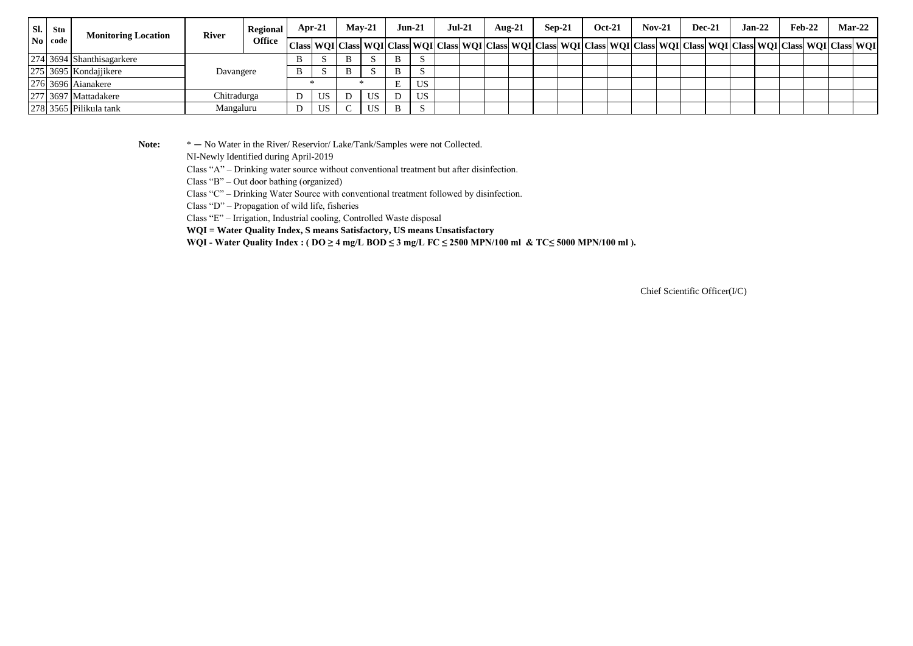| Sl.<br>$\bf{No}$   code | Stn | <b>Monitoring Location</b> | <b>River</b> | <b>Regional</b> | Apr-21 |     | $Mav-21$ |    | Jun-21                                                                                                                                                                 |        | $Jul-21$ |  | Aug- $21$ |  | Sep-21 |  | <b>Oct-21</b> |  | $Nov-21$ |  | <b>Dec-21</b> |  | $Jan-22$ |  | Feb-22 |  | $Mar-22$ |  |
|-------------------------|-----|----------------------------|--------------|-----------------|--------|-----|----------|----|------------------------------------------------------------------------------------------------------------------------------------------------------------------------|--------|----------|--|-----------|--|--------|--|---------------|--|----------|--|---------------|--|----------|--|--------|--|----------|--|
|                         |     |                            |              | <b>Office</b>   |        |     |          |    | Class  WQI   Class  WQI   Class  WQI   Class  WQI   Class  WQI   Class  WQI   Class  WQI   Class  WQI   Class  WQI   Class  WQI   Class  WQI   Class  WQI   Class  WQI |        |          |  |           |  |        |  |               |  |          |  |               |  |          |  |        |  |          |  |
|                         |     | 274 3694 Shanthisagarkere  |              |                 |        |     | B        |    | υ.                                                                                                                                                                     | J.     |          |  |           |  |        |  |               |  |          |  |               |  |          |  |        |  |          |  |
|                         |     | 275 3695 Kondajjikere      | Davangere    |                 | B      |     | B        |    | D                                                                                                                                                                      | - 33   |          |  |           |  |        |  |               |  |          |  |               |  |          |  |        |  |          |  |
|                         |     | 276 3696 Aianakere         |              |                 |        |     |          |    | E                                                                                                                                                                      | US     |          |  |           |  |        |  |               |  |          |  |               |  |          |  |        |  |          |  |
|                         |     | 277 3697 Mattadakere       | Chitradurga  |                 |        | US. |          | US |                                                                                                                                                                        | US     |          |  |           |  |        |  |               |  |          |  |               |  |          |  |        |  |          |  |
|                         |     | 278 3565 Pilikula tank     | Mangaluru    |                 | ◡      | US. |          | US |                                                                                                                                                                        | $\sim$ |          |  |           |  |        |  |               |  |          |  |               |  |          |  |        |  |          |  |

Note:  $* - No Water in the River/Reserior/Lake/Tank/Samples were not Collected.$ 

NI-Newly Identified during April-2019

Class "A" – Drinking water source without conventional treatment but after disinfection.

Class "B" – Out door bathing (organized)

Class "C" – Drinking Water Source with conventional treatment followed by disinfection.

Class "D" – Propagation of wild life, fisheries

Class "E" – Irrigation, Industrial cooling, Controlled Waste disposal

**WQI = Water Quality Index, S means Satisfactory, US means Unsatisfactory**

WQI - Water Quality Index : ( $DO \ge 4$  mg/L BOD  $\le 3$  mg/L FC  $\le 2500$  MPN/100 ml & TC $\le 5000$  MPN/100 ml).

Chief Scientific Officer(I/C)